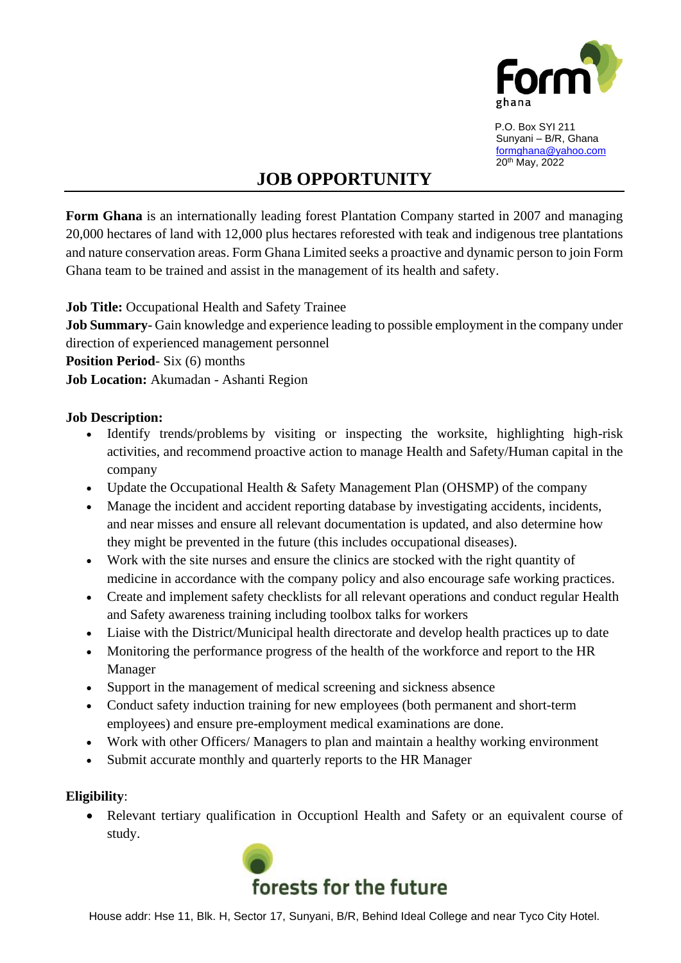

 P.O. Box SYI 211 Sunyani – B/R, Ghana [formghana@yahoo.com](mailto:formghana@yahoo.com) 20th May, 2022

# **JOB OPPORTUNITY**

**Form Ghana** is an internationally leading forest Plantation Company started in 2007 and managing 20,000 hectares of land with 12,000 plus hectares reforested with teak and indigenous tree plantations and nature conservation areas. Form Ghana Limited seeks a proactive and dynamic person to join Form Ghana team to be trained and assist in the management of its health and safety.

**Job Title:** Occupational Health and Safety Trainee

**Job Summary**- Gain knowledge and experience leading to possible employment in the company under direction of experienced management personnel

**Position Period**- Six (6) months

**Job Location:** Akumadan - Ashanti Region

#### **Job Description:**

- Identify trends/problems by visiting or inspecting the worksite, highlighting high-risk activities, and recommend proactive action to manage Health and Safety/Human capital in the company
- Update the Occupational Health & Safety Management Plan (OHSMP) of the company
- Manage the incident and accident reporting database by investigating accidents, incidents, and near misses and ensure all relevant documentation is updated, and also determine how they might be prevented in the future (this includes occupational diseases).
- Work with the site nurses and ensure the clinics are stocked with the right quantity of medicine in accordance with the company policy and also encourage safe working practices.
- Create and implement safety checklists for all relevant operations and conduct regular Health and Safety awareness training including toolbox talks for workers
- Liaise with the District/Municipal health directorate and develop health practices up to date
- Monitoring the performance progress of the health of the workforce and report to the HR Manager
- Support in the management of medical screening and sickness absence
- Conduct safety induction training for new employees (both permanent and short-term employees) and ensure pre-employment medical examinations are done.
- Work with other Officers/ Managers to plan and maintain a healthy working environment
- Submit accurate monthly and quarterly reports to the HR Manager

### **Eligibility**:

• Relevant tertiary qualification in Occuptionl Health and Safety or an equivalent course of study.



House addr: Hse 11, Blk. H, Sector 17, Sunyani, B/R, Behind Ideal College and near Tyco City Hotel.